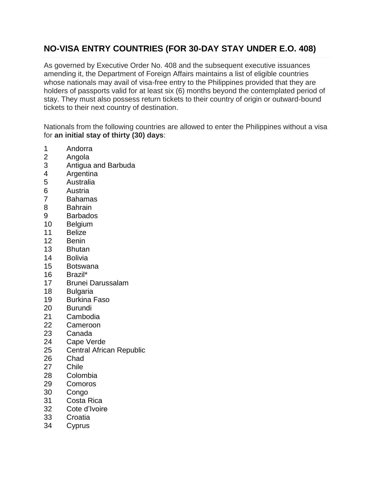## **NO-VISA ENTRY COUNTRIES (FOR 30-DAY STAY UNDER E.O. 408)**

As governed by Executive Order No. 408 and the subsequent executive issuances amending it, the Department of Foreign Affairs maintains a list of eligible countries whose nationals may avail of visa-free entry to the Philippines provided that they are holders of passports valid for at least six (6) months beyond the contemplated period of stay. They must also possess return tickets to their country of origin or outward-bound tickets to their next country of destination.

Nationals from the following countries are allowed to enter the Philippines without a visa for **an initial stay of thirty (30) days**:

- Andorra
- Angola
- Antigua and Barbuda
- Argentina
- Australia
- Austria
- Bahamas
- Bahrain
- Barbados
- Belgium
- Belize
- Benin
- Bhutan
- Bolivia
- Botswana
- Brazil\*
- Brunei Darussalam
- Bulgaria
- Burkina Faso
- Burundi
- Cambodia
- Cameroon
- Canada
- Cape Verde
- Central African Republic
- Chad
- Chile
- Colombia
- Comoros
- Congo
- Costa Rica
- Cote d'Ivoire
- Croatia
- Cyprus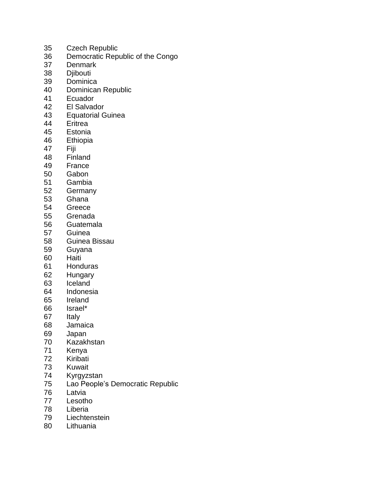- Czech Republic
- Democratic Republic of the Congo
- Denmark
- Djibouti
- Dominica
- Dominican Republic
- Ecuador
- El Salvador
- Equatorial Guinea
- Eritrea
- Estonia
- Ethiopia
- Fiji
- 
- 48 Finland<br>49 France **France**
- Gabon
- Gambia
- Germany
- Ghana
- Greece
- Grenada
- Guatemala
- Guinea
- Guinea Bissau
- Guyana
- Haiti
- Honduras
- Hungary
- Iceland
- Indonesia
- Ireland
- Israel\*
- Italy
- Jamaica
- Japan
- Kazakhstan
- Kenya
- Kiribati
- 
- 73 Kuwait<br>74 Kvrgyzs Kyrgyzstan
- Lao People's Democratic Republic
- Latvia
- Lesotho
- Liberia
- Liechtenstein
- Lithuania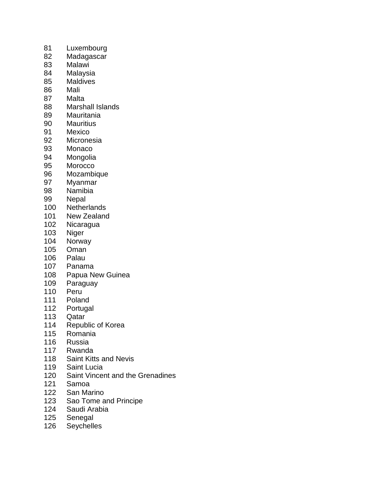- Luxembourg
- Madagascar
- Malawi
- Malaysia
- Maldives
- Mali
- Malta
- Marshall Islands
- Mauritania
- Mauritius
- Mexico
- Micronesia
- Monaco
- 94 Mongolia<br>95 Morocco
- Morocco
- Mozambique
- Myanmar
- 98 Namibia<br>99 Nepal
- **Nepal**
- Netherlands
- New Zealand
- Nicaragua
- Niger
- Norway
- Oman
- Palau
- Panama
- Papua New Guinea
- Paraguay
- Peru
- Poland
- Portugal
- Qatar
- Republic of Korea
- Romania
- Russia
- Rwanda
- Saint Kitts and Nevis
- 119 Saint Lucia<br>120 Saint Vincer
- Saint Vincent and the Grenadines
- Samoa
- San Marino
- Sao Tome and Principe
- Saudi Arabia
- Senegal
- Seychelles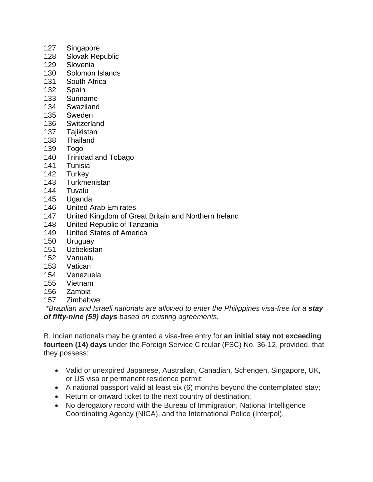- Singapore
- Slovak Republic
- Slovenia
- Solomon Islands
- South Africa
- Spain
- Suriname
- Swaziland
- Sweden
- Switzerland
- Tajikistan
- Thailand
- Togo
- Trinidad and Tobago
- Tunisia
- Turkey
- Turkmenistan
- Tuvalu
- Uganda
- United Arab Emirates
- United Kingdom of Great Britain and Northern Ireland
- United Republic of Tanzania
- United States of America
- Uruguay
- Uzbekistan
- Vanuatu
- Vatican
- Venezuela
- Vietnam
- Zambia
- Zimbabwe

*\*Brazilian and Israeli nationals are allowed to enter the Philippines visa-free for a stay of fifty-nine (59) days based on existing agreements.*

B. Indian nationals may be granted a visa-free entry for **an initial stay not exceeding fourteen (14) days** under the Foreign Service Circular (FSC) No. 36-12, provided, that they possess:

- Valid or unexpired Japanese, Australian, Canadian, Schengen, Singapore, UK, or US visa or permanent residence permit;
- A national passport valid at least six (6) months beyond the contemplated stay;
- Return or onward ticket to the next country of destination;
- No derogatory record with the Bureau of Immigration, National Intelligence Coordinating Agency (NICA), and the International Police (Interpol).